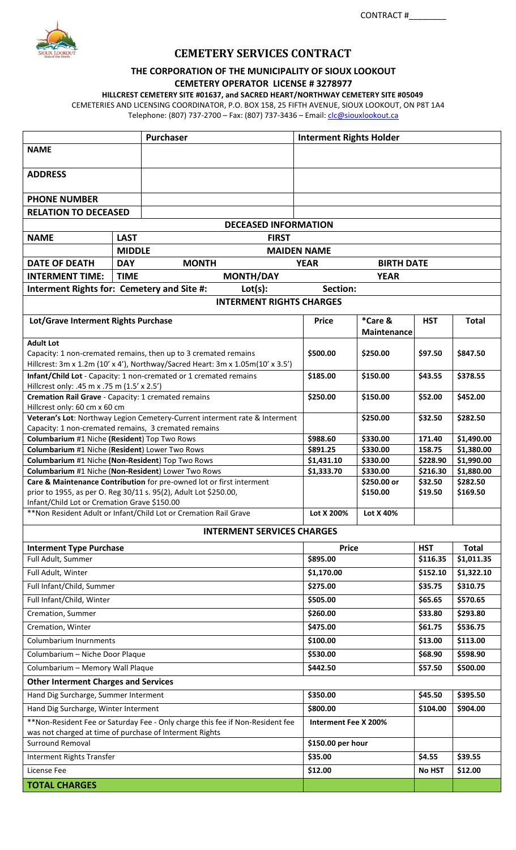

# **CEMETERY SERVICES CONTRACT**

## **THE CORPORATION OF THE MUNICIPALITY OF SIOUX LOOKOUT CEMETERY OPERATOR LICENSE # 3278977**

**HILLCREST CEMETERY SITE #01637, and SACRED HEART/NORTHWAY CEMETERY SITE #05049**

CEMETERIES AND LICENSING COORDINATOR, P.O. BOX 158, 25 FIFTH AVENUE, SIOUX LOOKOUT, ON P8T 1A4 Telephone: (807) 737-2700 - Fax: (807) 737-3436 - Email: *clc@siouxlookout.ca* 

|                                                                                                                                                     |                                                                | Purchaser                           |                          |                      | <b>Interment Rights Holder</b> |                     |                        |  |
|-----------------------------------------------------------------------------------------------------------------------------------------------------|----------------------------------------------------------------|-------------------------------------|--------------------------|----------------------|--------------------------------|---------------------|------------------------|--|
| <b>NAME</b>                                                                                                                                         |                                                                |                                     |                          |                      |                                |                     |                        |  |
| <b>ADDRESS</b>                                                                                                                                      |                                                                |                                     |                          |                      |                                |                     |                        |  |
| <b>PHONE NUMBER</b>                                                                                                                                 |                                                                |                                     |                          |                      |                                |                     |                        |  |
| <b>RELATION TO DECEASED</b>                                                                                                                         |                                                                |                                     |                          |                      |                                |                     |                        |  |
| <b>DECEASED INFORMATION</b>                                                                                                                         |                                                                |                                     |                          |                      |                                |                     |                        |  |
| <b>NAME</b>                                                                                                                                         | <b>LAST</b>                                                    | <b>FIRST</b>                        |                          |                      |                                |                     |                        |  |
|                                                                                                                                                     |                                                                | <b>MIDDLE</b><br><b>MAIDEN NAME</b> |                          |                      |                                |                     |                        |  |
| <b>DATE OF DEATH</b>                                                                                                                                | <b>DAY</b><br><b>MONTH</b><br><b>YEAR</b><br><b>BIRTH DATE</b> |                                     |                          |                      |                                |                     |                        |  |
| <b>INTERMENT TIME:</b><br><b>TIME</b><br><b>MONTH/DAY</b>                                                                                           |                                                                |                                     |                          | <b>YEAR</b>          |                                |                     |                        |  |
| Interment Rights for: Cemetery and Site #:<br>Lot(s):<br>Section:                                                                                   |                                                                |                                     |                          |                      |                                |                     |                        |  |
| <b>INTERMENT RIGHTS CHARGES</b>                                                                                                                     |                                                                |                                     |                          |                      |                                |                     |                        |  |
| Lot/Grave Interment Rights Purchase                                                                                                                 |                                                                |                                     | <b>Price</b>             |                      | *Care &<br><b>Maintenance</b>  | <b>HST</b>          | <b>Total</b>           |  |
| <b>Adult Lot</b><br>Capacity: 1 non-cremated remains, then up to 3 cremated remains                                                                 |                                                                |                                     |                          | \$500.00             | \$250.00                       | \$97.50             | \$847.50               |  |
| Hillcrest: 3m x 1.2m (10' x 4'), Northway/Sacred Heart: 3m x 1.05m(10' x 3.5')<br>Infant/Child Lot - Capacity: 1 non-cremated or 1 cremated remains |                                                                |                                     |                          | \$185.00             | \$150.00                       | \$43.55             | \$378.55               |  |
| Hillcrest only: .45 m x .75 m (1.5' x 2.5')                                                                                                         |                                                                |                                     | \$250.00                 |                      |                                |                     |                        |  |
| Cremation Rail Grave - Capacity: 1 cremated remains<br>Hillcrest only: 60 cm x 60 cm                                                                |                                                                |                                     |                          |                      | \$150.00                       | \$52.00             | \$452.00               |  |
| Veteran's Lot: Northway Legion Cemetery-Current interment rate & Interment<br>Capacity: 1 non-cremated remains, 3 cremated remains                  |                                                                |                                     |                          |                      | \$250.00                       | \$32.50             | \$282.50               |  |
| Columbarium #1 Niche (Resident) Top Two Rows                                                                                                        |                                                                |                                     | \$988.60                 |                      | \$330.00                       | 171.40              | \$1,490.00             |  |
| Columbarium #1 Niche (Resident) Lower Two Rows                                                                                                      |                                                                |                                     | \$891.25                 |                      | \$330.00                       | 158.75              | \$1,380.00             |  |
| Columbarium #1 Niche (Non-Resident) Top Two Rows                                                                                                    |                                                                |                                     | \$1,431.10<br>\$1,333.70 |                      | \$330.00                       | \$228.90            | \$1,990.00             |  |
| Columbarium #1 Niche (Non-Resident) Lower Two Rows                                                                                                  |                                                                |                                     |                          |                      | \$330.00<br>\$250.00 or        | \$216.30<br>\$32.50 | \$1,880.00<br>\$282.50 |  |
| Care & Maintenance Contribution for pre-owned lot or first interment<br>prior to 1955, as per O. Reg 30/11 s. 95(2), Adult Lot \$250.00,            |                                                                |                                     |                          |                      | \$150.00                       | \$19.50             | \$169.50               |  |
| Infant/Child Lot or Cremation Grave \$150.00                                                                                                        |                                                                |                                     |                          |                      |                                |                     |                        |  |
| **Non Resident Adult or Infant/Child Lot or Cremation Rail Grave                                                                                    |                                                                |                                     | Lot X 200%               |                      | Lot X 40%                      |                     |                        |  |
|                                                                                                                                                     |                                                                | <b>INTERMENT SERVICES CHARGES</b>   |                          |                      |                                |                     |                        |  |
| <b>Interment Type Purchase</b>                                                                                                                      |                                                                |                                     |                          | <b>Price</b>         |                                | <b>HST</b>          | <b>Total</b>           |  |
| Full Adult, Summer                                                                                                                                  |                                                                |                                     |                          | \$895.00             |                                | \$116.35            | \$1,011.35             |  |
| Full Adult, Winter                                                                                                                                  |                                                                |                                     |                          | \$1,170.00           |                                |                     | \$1,322.10             |  |
|                                                                                                                                                     | Full Infant/Child, Summer                                      |                                     |                          | \$275.00             |                                | \$35.75             | \$310.75               |  |
| Full Infant/Child, Winter                                                                                                                           |                                                                |                                     |                          | \$505.00             |                                | \$65.65             | \$570.65               |  |
| Cremation, Summer                                                                                                                                   |                                                                |                                     |                          | \$260.00             |                                | \$33.80             | \$293.80               |  |
| Cremation, Winter                                                                                                                                   |                                                                |                                     |                          | \$475.00             |                                | \$61.75             | \$536.75               |  |
|                                                                                                                                                     | <b>Columbarium Inurnments</b>                                  |                                     |                          | \$100.00             |                                | \$13.00             | \$113.00               |  |
| Columbarium - Niche Door Plaque                                                                                                                     |                                                                |                                     |                          | \$530.00             |                                |                     | \$598.90               |  |
|                                                                                                                                                     | Columbarium - Memory Wall Plaque                               |                                     |                          | \$442.50             |                                | \$57.50             | \$500.00               |  |
| <b>Other Interment Charges and Services</b>                                                                                                         |                                                                |                                     |                          |                      |                                |                     |                        |  |
|                                                                                                                                                     | Hand Dig Surcharge, Summer Interment                           |                                     |                          | \$350.00             |                                |                     | \$395.50               |  |
|                                                                                                                                                     | Hand Dig Surcharge, Winter Interment                           |                                     |                          | \$800.00             |                                |                     | \$904.00               |  |
| **Non-Resident Fee or Saturday Fee - Only charge this fee if Non-Resident fee                                                                       |                                                                |                                     |                          | Interment Fee X 200% |                                |                     |                        |  |
| was not charged at time of purchase of Interment Rights                                                                                             |                                                                |                                     |                          |                      |                                |                     |                        |  |
| <b>Surround Removal</b>                                                                                                                             |                                                                |                                     |                          | \$150.00 per hour    |                                |                     |                        |  |
| Interment Rights Transfer                                                                                                                           |                                                                |                                     | \$35.00                  |                      |                                |                     | \$39.55                |  |
| License Fee                                                                                                                                         |                                                                |                                     | \$12.00                  |                      |                                | <b>No HST</b>       | \$12.00                |  |
| <b>TOTAL CHARGES</b>                                                                                                                                |                                                                |                                     |                          |                      |                                |                     |                        |  |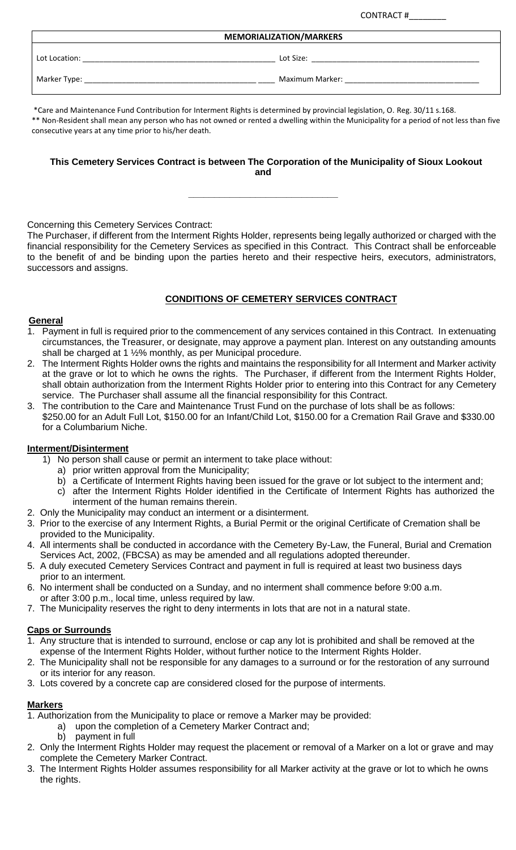CONTRACT #\_\_\_\_\_\_\_\_\_

| <b>MEMORIALIZATION/MARKERS</b> |                 |  |  |  |
|--------------------------------|-----------------|--|--|--|
| Lot Location:                  | Lot Size:       |  |  |  |
| Marker Type:                   | Maximum Marker: |  |  |  |

\*Care and Maintenance Fund Contribution for Interment Rights is determined by provincial legislation, O. Reg. 30/11 s.168. \*\* Non-Resident shall mean any person who has not owned or rented a dwelling within the Municipality for a period of not less than five consecutive years at any time prior to his/her death.

## **This Cemetery Services Contract is between The Corporation of the Municipality of Sioux Lookout and**

**\_\_\_\_\_\_\_\_\_\_\_\_\_\_\_\_\_\_\_\_\_\_\_\_\_\_\_\_\_**

Concerning this Cemetery Services Contract:

The Purchaser, if different from the Interment Rights Holder, represents being legally authorized or charged with the financial responsibility for the Cemetery Services as specified in this Contract. This Contract shall be enforceable to the benefit of and be binding upon the parties hereto and their respective heirs, executors, administrators, successors and assigns.

# **CONDITIONS OF CEMETERY SERVICES CONTRACT**

#### **General**

- 1. Payment in full is required prior to the commencement of any services contained in this Contract. In extenuating circumstances, the Treasurer, or designate, may approve a payment plan. Interest on any outstanding amounts shall be charged at 1 ½% monthly, as per Municipal procedure.
- 2. The Interment Rights Holder owns the rights and maintains the responsibility for all Interment and Marker activity at the grave or lot to which he owns the rights. The Purchaser, if different from the Interment Rights Holder, shall obtain authorization from the Interment Rights Holder prior to entering into this Contract for any Cemetery service. The Purchaser shall assume all the financial responsibility for this Contract.
- 3. The contribution to the Care and Maintenance Trust Fund on the purchase of lots shall be as follows: \$250.00 for an Adult Full Lot, \$150.00 for an Infant/Child Lot, \$150.00 for a Cremation Rail Grave and \$330.00 for a Columbarium Niche.

### **Interment/Disinterment**

- 1) No person shall cause or permit an interment to take place without:
	- a) prior written approval from the Municipality;
	- b) a Certificate of Interment Rights having been issued for the grave or lot subject to the interment and;
- c) after the Interment Rights Holder identified in the Certificate of Interment Rights has authorized the interment of the human remains therein.
- 2. Only the Municipality may conduct an interment or a disinterment.
- 3. Prior to the exercise of any Interment Rights, a Burial Permit or the original Certificate of Cremation shall be provided to the Municipality.
- 4. All interments shall be conducted in accordance with the Cemetery By-Law, the Funeral, Burial and Cremation Services Act, 2002, (FBCSA) as may be amended and all regulations adopted thereunder.
- 5. A duly executed Cemetery Services Contract and payment in full is required at least two business days prior to an interment.
- 6. No interment shall be conducted on a Sunday, and no interment shall commence before 9:00 a.m. or after 3:00 p.m., local time, unless required by law.
- 7. The Municipality reserves the right to deny interments in lots that are not in a natural state.

### **Caps or Surrounds**

- 1. Any structure that is intended to surround, enclose or cap any lot is prohibited and shall be removed at the expense of the Interment Rights Holder, without further notice to the Interment Rights Holder.
- 2. The Municipality shall not be responsible for any damages to a surround or for the restoration of any surround or its interior for any reason.
- 3. Lots covered by a concrete cap are considered closed for the purpose of interments.

### **Markers**

- 1. Authorization from the Municipality to place or remove a Marker may be provided:
	- a) upon the completion of a Cemetery Marker Contract and;
		- b) payment in full
- 2. Only the Interment Rights Holder may request the placement or removal of a Marker on a lot or grave and may complete the Cemetery Marker Contract.
- 3. The Interment Rights Holder assumes responsibility for all Marker activity at the grave or lot to which he owns the rights.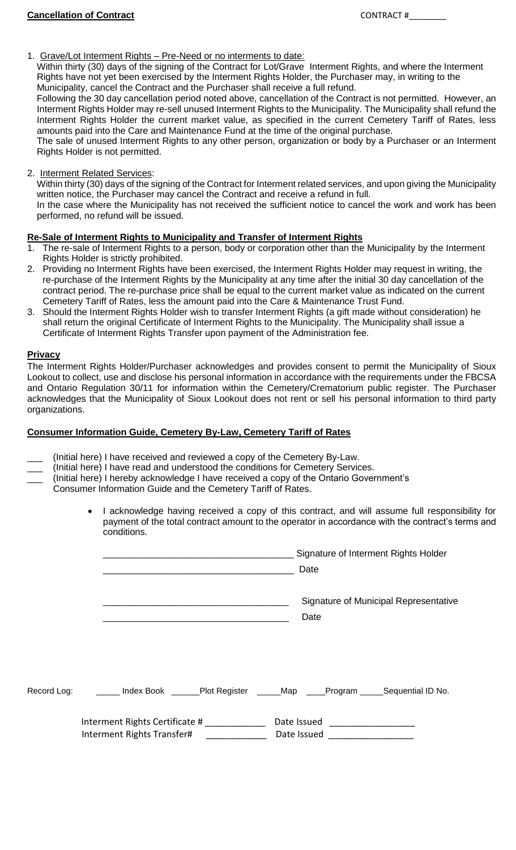## 1. Grave/Lot Interment Rights – Pre-Need or no interments to date:

Within thirty (30) days of the signing of the Contract for Lot/Grave Interment Rights, and where the Interment Rights have not yet been exercised by the Interment Rights Holder, the Purchaser may, in writing to the Municipality, cancel the Contract and the Purchaser shall receive a full refund.

Following the 30 day cancellation period noted above, cancellation of the Contract is not permitted. However, an Interment Rights Holder may re-sell unused Interment Rights to the Municipality. The Municipality shall refund the Interment Rights Holder the current market value, as specified in the current Cemetery Tariff of Rates, less amounts paid into the Care and Maintenance Fund at the time of the original purchase.

The sale of unused Interment Rights to any other person, organization or body by a Purchaser or an Interment Rights Holder is not permitted.

2. Interment Related Services:

Within thirty (30) days of the signing of the Contract for Interment related services, and upon giving the Municipality written notice, the Purchaser may cancel the Contract and receive a refund in full.

In the case where the Municipality has not received the sufficient notice to cancel the work and work has been performed, no refund will be issued.

#### **Re-Sale of Interment Rights to Municipality and Transfer of Interment Rights**

- 1. The re-sale of Interment Rights to a person, body or corporation other than the Municipality by the Interment Rights Holder is strictly prohibited.
- 2. Providing no Interment Rights have been exercised, the Interment Rights Holder may request in writing, the re-purchase of the Interment Rights by the Municipality at any time after the initial 30 day cancellation of the contract period. The re-purchase price shall be equal to the current market value as indicated on the current Cemetery Tariff of Rates, less the amount paid into the Care & Maintenance Trust Fund.
- 3. Should the Interment Rights Holder wish to transfer Interment Rights (a gift made without consideration) he shall return the original Certificate of Interment Rights to the Municipality. The Municipality shall issue a Certificate of Interment Rights Transfer upon payment of the Administration fee.

#### **Privacy**

The Interment Rights Holder/Purchaser acknowledges and provides consent to permit the Municipality of Sioux Lookout to collect, use and disclose his personal information in accordance with the requirements under the FBCSA and Ontario Regulation 30/11 for information within the Cemetery/Crematorium public register. The Purchaser acknowledges that the Municipality of Sioux Lookout does not rent or sell his personal information to third party organizations.

### **Consumer Information Guide, Cemetery By-Law, Cemetery Tariff of Rates**

- (Initial here) I have received and reviewed a copy of the Cemetery By-Law.
- \_\_\_ (Initial here) I have read and understood the conditions for Cemetery Services.
- \_\_\_ (Initial here) I hereby acknowledge I have received a copy of the Ontario Government's
- Consumer Information Guide and the Cemetery Tariff of Rates.
	- I acknowledge having received a copy of this contract, and will assume full responsibility for payment of the total contract amount to the operator in accordance with the contract's terms and conditions.

|             |                                                                | Signature of Interment Rights Holder<br>Date  |
|-------------|----------------------------------------------------------------|-----------------------------------------------|
|             |                                                                | Signature of Municipal Representative<br>Date |
| Record Log: | _____ Index Book ______Plot Register _____Map ____Program ____ | Sequential ID No.                             |
|             | Interment Rights Certificate #<br>Interment Rights Transfer#   | Date Issued                                   |